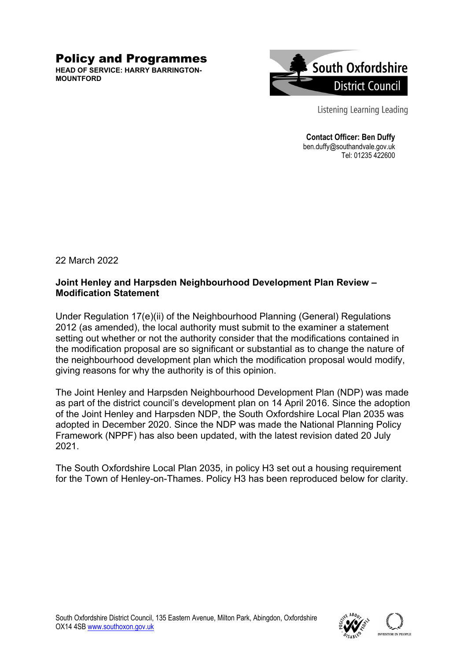## Policy and Programmes

**HEAD OF SERVICE: HARRY BARRINGTON-MOUNTFORD**



Listening Learning Leading

**Contact Officer: Ben Duffy**  ben.duffy@southandvale.gov.uk Tel: 01235 422600

22 March 2022

## **Joint Henley and Harpsden Neighbourhood Development Plan Review – Modification Statement**

Under Regulation 17(e)(ii) of the Neighbourhood Planning (General) Regulations 2012 (as amended), the local authority must submit to the examiner a statement setting out whether or not the authority consider that the modifications contained in the modification proposal are so significant or substantial as to change the nature of the neighbourhood development plan which the modification proposal would modify, giving reasons for why the authority is of this opinion.

The Joint Henley and Harpsden Neighbourhood Development Plan (NDP) was made as part of the district council's development plan on 14 April 2016. Since the adoption of the Joint Henley and Harpsden NDP, the South Oxfordshire Local Plan 2035 was adopted in December 2020. Since the NDP was made the National Planning Policy Framework (NPPF) has also been updated, with the latest revision dated 20 July 2021.

The South Oxfordshire Local Plan 2035, in policy H3 set out a housing requirement for the Town of Henley-on-Thames. Policy H3 has been reproduced below for clarity.

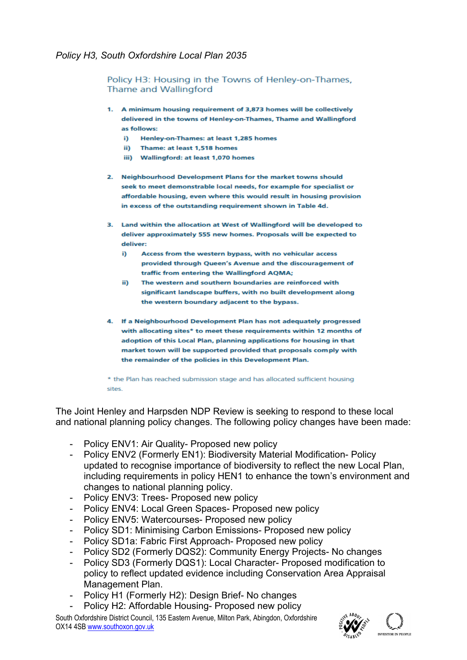Policy H3: Housing in the Towns of Henley-on-Thames. Thame and Wallingford

- 1. A minimum housing requirement of 3,873 homes will be collectively delivered in the towns of Henley-on-Thames, Thame and Wallingford as follows:
	- i) Henley-on-Thames: at least 1,285 homes
	- ii) Thame: at least 1,518 homes
	- iii) Wallingford: at least 1,070 homes
- 2. Neighbourhood Development Plans for the market towns should seek to meet demonstrable local needs, for example for specialist or affordable housing, even where this would result in housing provision in excess of the outstanding requirement shown in Table 4d.
- 3. Land within the allocation at West of Wallingford will be developed to deliver approximately 555 new homes. Proposals will be expected to deliver:
	- i) Access from the western bypass, with no vehicular access provided through Queen's Avenue and the discouragement of traffic from entering the Wallingford AQMA;
	- ii) The western and southern boundaries are reinforced with significant landscape buffers, with no built development along the western boundary adjacent to the bypass.
- 4. If a Neighbourhood Development Plan has not adequately progressed with allocating sites\* to meet these requirements within 12 months of adoption of this Local Plan, planning applications for housing in that market town will be supported provided that proposals comply with the remainder of the policies in this Development Plan.

\* the Plan has reached submission stage and has allocated sufficient housing sites.

The Joint Henley and Harpsden NDP Review is seeking to respond to these local and national planning policy changes. The following policy changes have been made:

- Policy ENV1: Air Quality- Proposed new policy
- Policy ENV2 (Formerly EN1): Biodiversity Material Modification- Policy updated to recognise importance of biodiversity to reflect the new Local Plan, including requirements in policy HEN1 to enhance the town's environment and changes to national planning policy.
- Policy ENV3: Trees- Proposed new policy
- Policy ENV4: Local Green Spaces- Proposed new policy
- Policy ENV5: Watercourses- Proposed new policy
- Policy SD1: Minimising Carbon Emissions- Proposed new policy
- Policy SD1a: Fabric First Approach- Proposed new policy
- Policy SD2 (Formerly DQS2): Community Energy Projects- No changes
- Policy SD3 (Formerly DQS1): Local Character- Proposed modification to policy to reflect updated evidence including Conservation Area Appraisal Management Plan.
- Policy H1 (Formerly H2): Design Brief- No changes
- Policy H2: Affordable Housing- Proposed new policy

South Oxfordshire District Council, 135 Eastern Avenue, Milton Park, Abingdon, Oxfordshire OX14 4SB www.southoxon.gov.uk

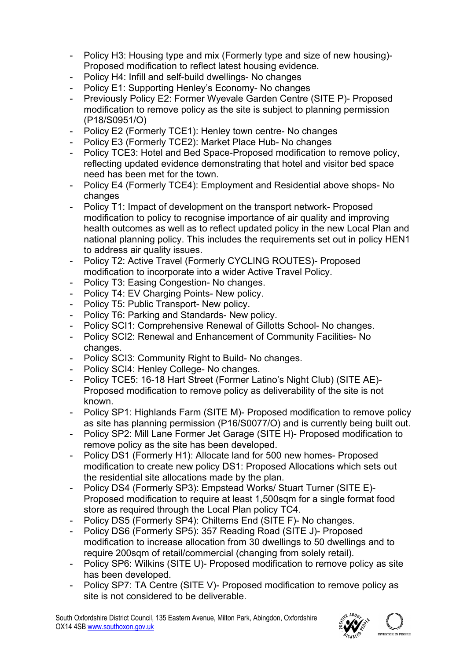- Policy H3: Housing type and mix (Formerly type and size of new housing)- Proposed modification to reflect latest housing evidence.
- Policy H4: Infill and self-build dwellings- No changes
- Policy E1: Supporting Henley's Economy- No changes
- Previously Policy E2: Former Wyevale Garden Centre (SITE P)- Proposed modification to remove policy as the site is subject to planning permission (P18/S0951/O)
- Policy E2 (Formerly TCE1): Henley town centre- No changes
- Policy E3 (Formerly TCE2): Market Place Hub- No changes
- Policy TCE3: Hotel and Bed Space-Proposed modification to remove policy, reflecting updated evidence demonstrating that hotel and visitor bed space need has been met for the town.
- Policy E4 (Formerly TCE4): Employment and Residential above shops- No changes
- Policy T1: Impact of development on the transport network- Proposed modification to policy to recognise importance of air quality and improving health outcomes as well as to reflect updated policy in the new Local Plan and national planning policy. This includes the requirements set out in policy HEN1 to address air quality issues.
- Policy T2: Active Travel (Formerly CYCLING ROUTES)- Proposed modification to incorporate into a wider Active Travel Policy.
- Policy T3: Easing Congestion- No changes.
- Policy T4: EV Charging Points- New policy.
- Policy T5: Public Transport- New policy.
- Policy T6: Parking and Standards- New policy.
- Policy SCI1: Comprehensive Renewal of Gillotts School- No changes.
- Policy SCI2: Renewal and Enhancement of Community Facilities- No changes.
- Policy SCI3: Community Right to Build- No changes.
- Policy SCI4: Henley College- No changes.
- Policy TCE5: 16-18 Hart Street (Former Latino's Night Club) (SITE AE)- Proposed modification to remove policy as deliverability of the site is not known.
- Policy SP1: Highlands Farm (SITE M)- Proposed modification to remove policy as site has planning permission (P16/S0077/O) and is currently being built out.
- Policy SP2: Mill Lane Former Jet Garage (SITE H)- Proposed modification to remove policy as the site has been developed.
- Policy DS1 (Formerly H1): Allocate land for 500 new homes- Proposed modification to create new policy DS1: Proposed Allocations which sets out the residential site allocations made by the plan.
- Policy DS4 (Formerly SP3): Empstead Works/ Stuart Turner (SITE E)- Proposed modification to require at least 1,500sqm for a single format food store as required through the Local Plan policy TC4.
- Policy DS5 (Formerly SP4): Chilterns End (SITE F)- No changes.
- Policy DS6 (Formerly SP5): 357 Reading Road (SITE J)- Proposed modification to increase allocation from 30 dwellings to 50 dwellings and to require 200sqm of retail/commercial (changing from solely retail).
- Policy SP6: Wilkins (SITE U)- Proposed modification to remove policy as site has been developed.
- Policy SP7: TA Centre (SITE V)- Proposed modification to remove policy as site is not considered to be deliverable.

South Oxfordshire District Council, 135 Eastern Avenue, Milton Park, Abingdon, Oxfordshire OX14 4SB www.southoxon.gov.uk